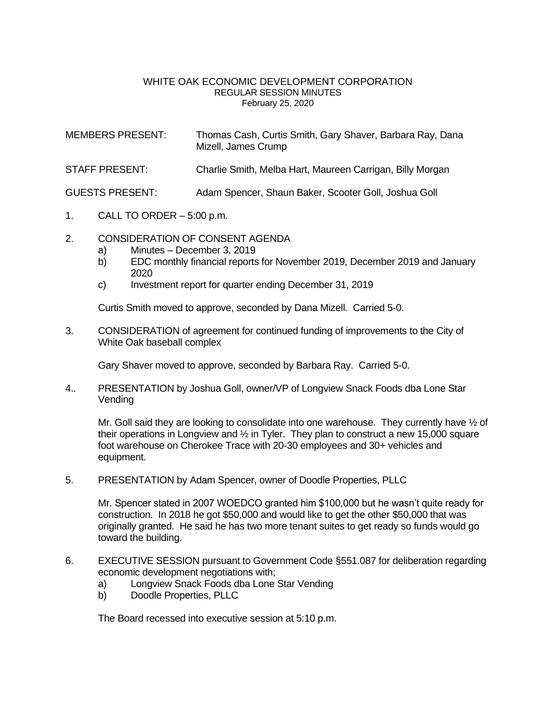## WHITE OAK ECONOMIC DEVELOPMENT CORPORATION REGULAR SESSION MINUTES February 25, 2020

MEMBERS PRESENT: Thomas Cash, Curtis Smith, Gary Shaver, Barbara Ray, Dana Mizell, James Crump

STAFF PRESENT: Charlie Smith, Melba Hart, Maureen Carrigan, Billy Morgan

GUESTS PRESENT: Adam Spencer, Shaun Baker, Scooter Goll, Joshua Goll

- 1. CALL TO ORDER 5:00 p.m.
- 2. CONSIDERATION OF CONSENT AGENDA
	- a) Minutes December 3, 2019
	- b) EDC monthly financial reports for November 2019, December 2019 and January 2020
	- c) Investment report for quarter ending December 31, 2019

Curtis Smith moved to approve, seconded by Dana Mizell. Carried 5-0.

3. CONSIDERATION of agreement for continued funding of improvements to the City of White Oak baseball complex

Gary Shaver moved to approve, seconded by Barbara Ray. Carried 5-0.

4.. PRESENTATION by Joshua Goll, owner/VP of Longview Snack Foods dba Lone Star Vending

Mr. Goll said they are looking to consolidate into one warehouse. They currently have  $\frac{1}{2}$  of their operations in Longview and  $\frac{1}{2}$  in Tyler. They plan to construct a new 15,000 square foot warehouse on Cherokee Trace with 20-30 employees and 30+ vehicles and equipment.

5. PRESENTATION by Adam Spencer, owner of Doodle Properties, PLLC

Mr. Spencer stated in 2007 WOEDCO granted him \$100,000 but he wasn't quite ready for construction. In 2018 he got \$50,000 and would like to get the other \$50,000 that was originally granted. He said he has two more tenant suites to get ready so funds would go toward the building.

- 6. EXECUTIVE SESSION pursuant to Government Code §551.087 for deliberation regarding economic development negotiations with;
	- a) Longview Snack Foods dba Lone Star Vending
	- b) Doodle Properties, PLLC

The Board recessed into executive session at 5:10 p.m.